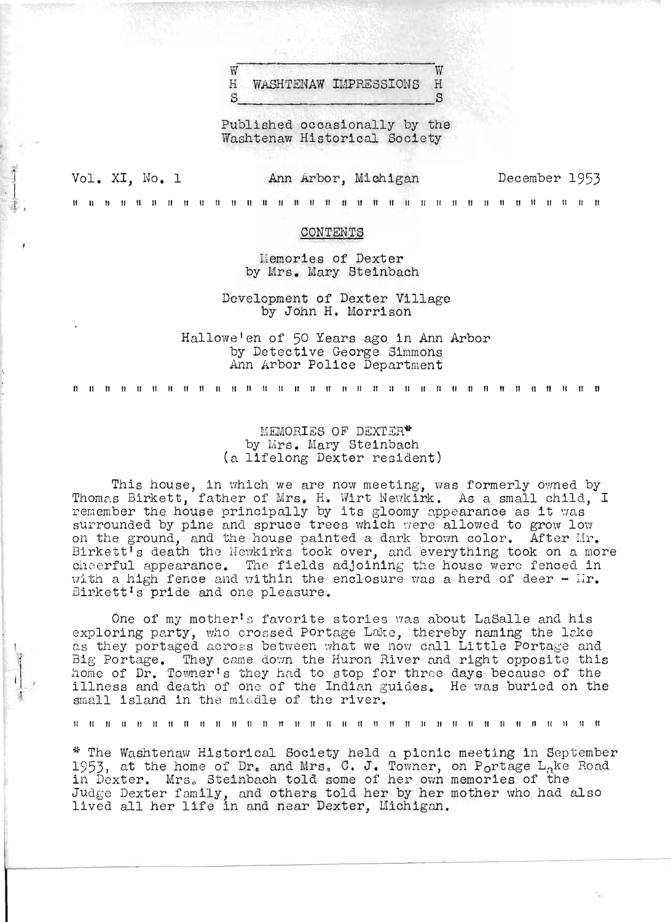Ŵ Ŵ WASHTENAW IMPRESSIONS Η  $H$ S S

Published occasionally by the Washtenaw Historical Society

Vol. XI, No. 1

Ann Arbor, Michigan

December 1953

# CONTENTS

Memories of Dexter by Mrs. Mary Steinbach

Development of Dexter Village by John H. Morrison

Hallowe'en of 50 Years ago in Ann Arbor by Detective George Simmons Ann Arbor Police Department

MEMORIES OF DEXTER\* by Mrs. Mary Steinbach (a lifelong Dexter resident)

This house, in which we are now meeting, was formerly owned by Thomas Birkett, father of Mrs. H. Wirt Newkirk. As a small child, I remember the house principally by its gloomy appearance as it was surrounded by pine and spruce trees which were allowed to grow low on the ground, and the house painted a dark brown color. After Mr. Birkett<sup>T</sup>s death the Newkirks took over, and everything took on a more cheerful appearance. The fields adjoining the house were fenced in with a high fence and within the enclosure was a herd of deer  $-$  lir. Birkett's pride and one pleasure.

One of my mother's favorite stories was about LaSalle and his exploring party, who crossed Portage Lake, thereby naming the lake as they portaged across between what we now call Little Portage and Big Portage. They came down the Huron River and right opposite this home of Dr. Towner's they had to stop for three days because of the illness and death of one of the Indian guides. He was buried on the small island in the middle of the river.

\* The Washtenaw Historical Society held a picnic meeting in September 1953, at the home of Dr. and Mrs. C. J. Towner, on Portage  $L_2$ ke Road in Dexter. Mrs. Steinbach told some of her own memories of the<br>Judge Dexter family, and others told her by her mother who had also<br>lived all her life in and near Dexter, Michigan.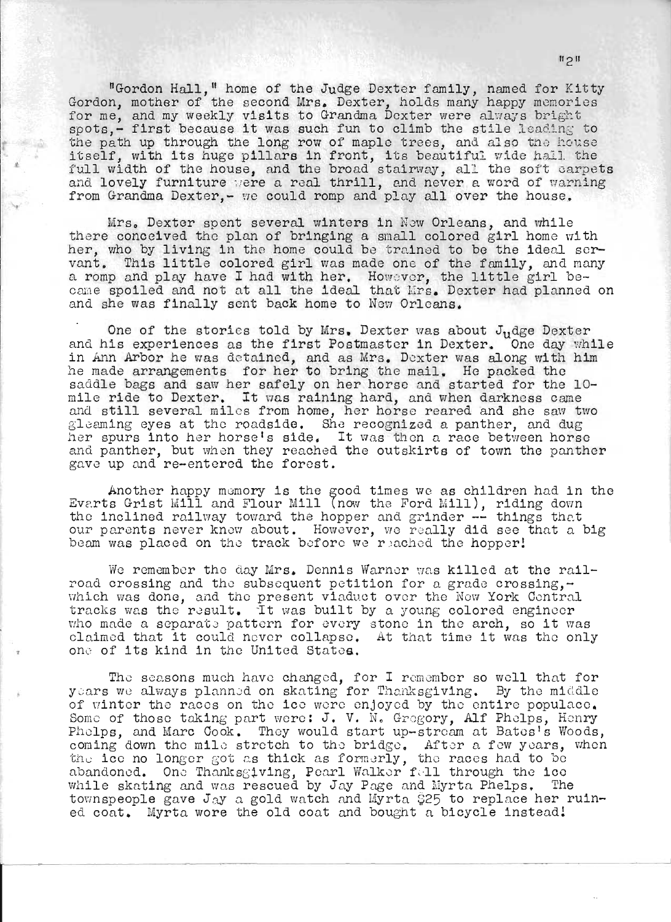"Gordon Hall." home of the Judge Dexter family, named for Kitty Gordon, mother of the second Mrs. Dexter, holds many happy memories for me, and my weekly visits to Grandma Dexter were always bright spots,- first because it was such fun to climb the stile l oading to the path up through the long row of maple trees, and also the house itself, with its huge pillars in front, its beautiful wide hall the full width of the house, and the broad stairway, all the soft carpets and lovely furniture were a real thrill, and never a word of warning from Grandma Dexter, - we could romp and play all over the house.

Mrs. Dexter spent several winters in New Orleans, and while there conceived the plan of bringing a small colored girl home with her, who by living in the home could be trained to be the ideal servant. This little colored girl was made one of the family, and many vant. This fittle colored girl was made one of the family, and make romp and play have I had with her. However, the little girl became spoiled and not at all the ideal that Lirs. Dexter had planned on and she was finally sent back home to New Orleans.

One of the stories told by Mrs. Dexter was about  $J_{11}$ dge Dexter and his experiences as the first Postmaster in Dexter. One day while in Ann Arbor he was detained, and as Mrs. Dexter was along with him he made arrangements for her to bring the mail. He packed the saddle bags and saw her safely on her horse and started for the 10 saddle bags and saw her safely on her horse and started for the 10<br>mile ride to Dexter. It was raining hard, and when darkness came and still several miles from home, her horse reared and she saw two gleaming eyes at the roadside. She recognized a panther, and dug her spurs into her horse's side. It was then a race between horse and panther, but when they reached the outskirts of town the panther gave up and re-entercd the forest.

Another happy memory is the good times we as children had in the Everts Grist Mill and Flour Mill (now the Ford Mill), riding down the inclined railway toward the hopper and grinder  $-$ - things that our parents never knew about. However, we really did see that a big beam was placed on the track before we reached the hopper!

We remember the day Mrs. Dennis Warner was killed at the railroad crossing and the subsequent petition for a grade crossing, $$ which was done, and the present viaduct over the New York Central tracks was the result. It was built by a young colored engineer who made a separate pattern for every stone in the arch, so it was claimed that it could nevor collapse. At that time it was tho only one of its kind in the United Statos..

The seasons much have changed, for I remember so well that for years we always planned on skating for Thanksgiving. By the middle of winter the races on the ice were enjoyed by the entire populace. Some of those taking part were: J. V. N. Gregory, Alf Phelps, Henry phelps, and Marc Cook. They would start up-stream at Bates's Woods, coming down the mile stretch to the bridge. After a few years, when the ice no longer got as thick as formerly, the races had to be abandoned. One Thanksgiving, Pearl Walker fell through the icc while skating and was rescued by Jay Page and Myrta Phelps. The townspeople gave Jay a gold watch and Myrta \$25 to replace her ruined coat. Myrta wore the old coat and bought a bicycle instead!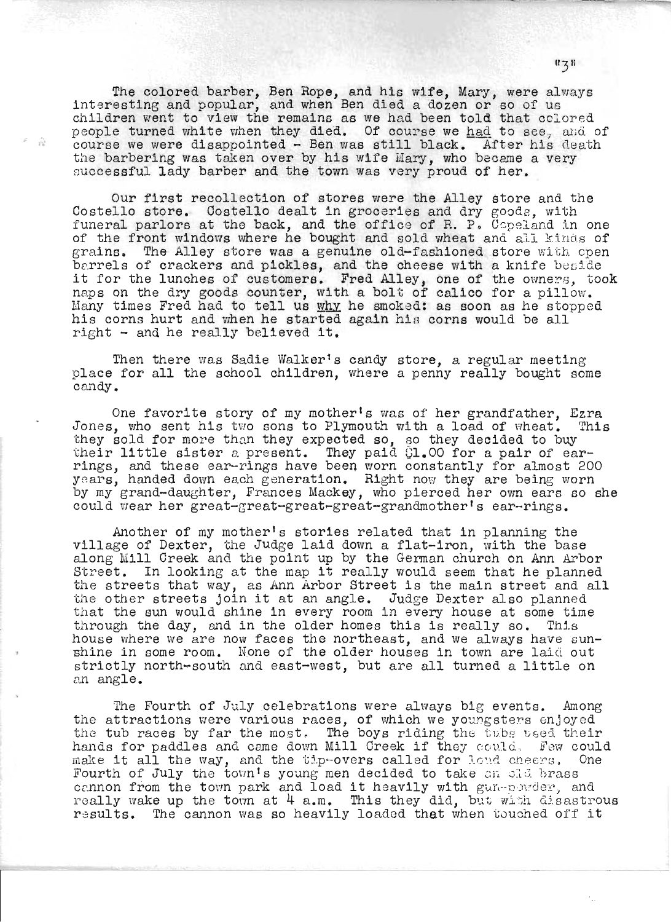The colored barber, Ben Rope, and his wife, Mary, were always interesting and popular, and when Ben died a dozen or so of us children went to view the remains as we had been told that colored people turned white when they died. Of course we had to see, and of course we were disappointed - Ben was still black. After his death the barbering was taken over by his wife Mary, who became a very successful lady barber and the town was very proud of her.

지 말

Our first recollection of stores were the Alley store and the Costello store. Costello dealt in groceries and dry goode, with funeral parlors at the back, and the office of R. P. Copeland in one of the front windows where he bought and sold wheat and all kinds of grains. The Alley store was a genuine old-fashioned store with open barrels of crackers and pickles, and the cheese with a knife beside barrels of crackers and pickles, and the cheese with a knife beside<br>it for the lunches of customers. Fred Alley, one of the owners, took naps on the dry goods counter, with a bolt of calico for a pillow. Many times Fred had to tell us why he smoked: as soon as he stopped his corns hurt and when he started again his corns would be all right  $-$  and he really believed it.

Then there was Sadie Walker's candy store, a regular meeting place for all the school children, where a penny really bought some candy.

One favorite story of my mother's was of her grandfather, Ezra Jones, who sent his two sons to Plymouth with a load of wheat. This they sold for more than they expected so, so they decided to buy their little sister a present. They paid  $01.00$  for a pair of earrings, and these ear-rings have been worn constantly for almost 200 rings, and allow but fings have seen were constantly for allmost 200 by my grand-daughter, Frances Mackey, who pierced her own ears so she could wear her great-great-great-great-grandmother's ear-rings.

Another of my mother's stories related that in planning the village of Dexter, the Judge laid down a flat-iron, with the base along Mill Creek and the point up by the German church on Ann Arbor street. In looking at the map it really would seem that he planned the streets that way, as Ann Arbor Street is the main street and all the other streets join it at an angle. Judge Dexter also planned that the sun would shine in every room in every house at some time through the day, and in the older homes this is really so. This house where we are now faces the northeast, and we always have sunshine in some room. None of the older houses in town are laid out strictly north-south and east-west, but are all turned a little on an angle.

The Fourth of July celebrations were always big events. Among the attractions were various races, of which we youngsters enjoyed the tub races by far the most. The boys riding the tubs used their hands for paddles and came down Mill Creek if they could. Few could make it all the way, and the tip-overs called for lond cheers. One Fourth of July the town's young men decided to take an eld brass cannon from the town park and load it heavily with gun-powder, and really wake up the town at  $4$  a.m. This they did, but with disastrous results. The cannon was so heavily loaded that when touched off it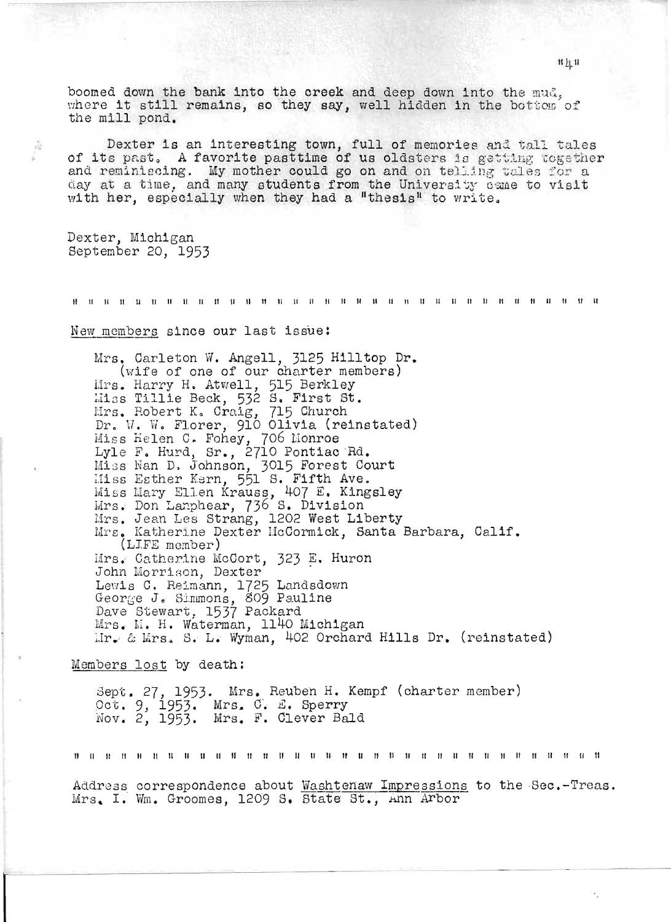boomed down the bank into the creek and deep down into the mud, where it still remains, so they say, well hidden in the bottom of the mill pond.

Dexter is an interesting town, full of memories and tall tales of its past. A favorite pasttime of us oldsters is getting together and reminiscing. My mother could go on and on telling tales for a day at a time, and many students from the University came to visit with her, especially when they had a "thesis" to write.

Dexter, Michigan September 20, 1953

 $\frac{1}{2} \frac{1}{2}$ 

New members since our last issue:

Mrs, Carleton W. Angell, 3125 Hilltop Dr. (wife of one of our charter members) Mrs. Harry H. Atwell, 515 Berkley<br>Miss Tillie Beck, 532 S. First St.<br>Mrs. Robert K. Craig, 715 Church<br>Dr. W. W. Florer, 910 Olivia (reinstated) Miss Helen C. Foney, 706 Monroe<br>Lyle F. Hurd, Sr., 2710 Pontiac Rd. Miss Nan D. Johnson, 3015 Forest Court<br>Miss Nan D. Johnson, 3015 Forest Court<br>Miss Esther Kern, 551 S. Fifth Ave.<br>Miss Mary Ellen Krauss, 407 E. Kingsley<br>Mrs. Don Lanphear, 736 S. Division Mrs. Jean Les Strang, 1202 West Liberty Mrs. Katherine Dexter HcCormick, Santa Barbara, Calif. (LIFE member) Mrs. Catherine McCort, 323 E. Huron John Morrison, Dexter Lewis C. Reimann, 1725 Landsdown George J. Simmons, 809 Pauline<br>Dave Stewart, 1537 Packard Mrs. M. H. Waterman, 1140 Michigan ir. & Mrs. S. L. Wyman, 402 Orchard Hills Dr. (reinstated)

Members lost by death:

Sept. 27, 1953. Mrs. Reuben H. Kempf (charter member)<br>Oct. 9, 1953. Mrs. C. E. Sperry<br>Nov. 2, 1953. Mrs. F. Clever Bald

Address correspondence about Washtenaw Impressions to the Sec.-Treas. Mrs. I. Wm. Groomes. 1209 S. State St., Ann Arbor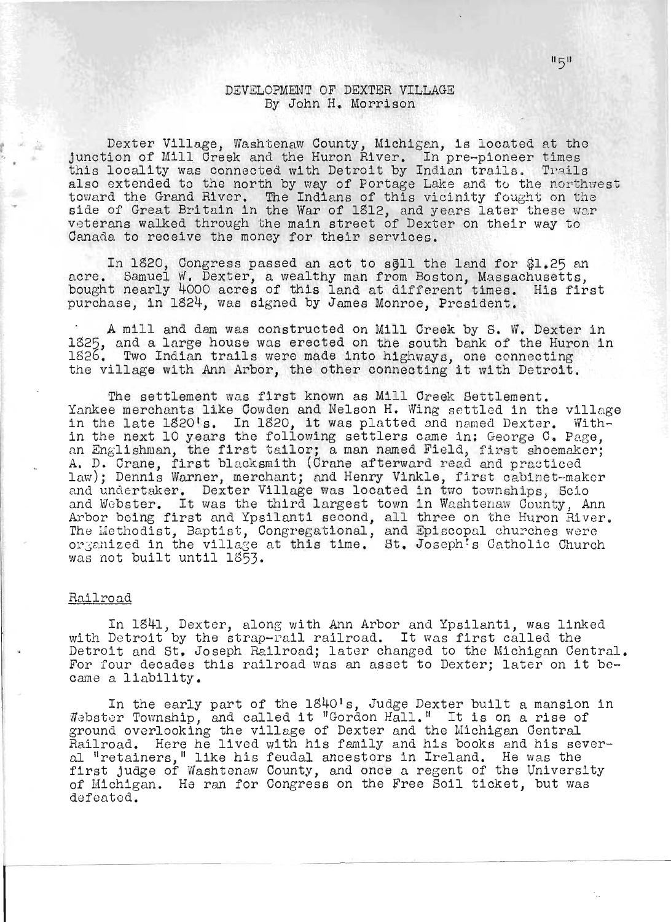# DEVELOPMENT OF DEXTER VILLAGE By John H. Morrison

Dexter Village, Washtenaw County, Michigan, is located at the junction of Mill Creek and the Huron River. In pre-pioneer times this locality was connected with Detroit by Indian trails. Trails also extended to the north by way of Portage Lake and to the northwest the extended to the horth by way of Fortage make and to the horthwe<br>coward the Grand River. The Indians of this vicinity fought on the soward the Grand River. The Indians of this vicinity fought on the<br>side of Great Britain in the War of 1312, and years later these war veterans walked through the main street of Dexter on their way to Canada to receive the money for their services.

In 1820, Congress passed an act to s $\delta$ ll the land for  $\delta$ 1.25 an ncre. Samuel W. Dexter, a wealthy man from Boston, Massachusetts, ncre. Samuel w. Dexter, a wealthy man from Boston, massachusetts,<br>bought nearly 4000 acres of this land at different times. His first purchase, in 1324, was signed by James Monroe, President.

A mill and dam was constructed on Mill Creek by S. W. Dexter in lS25, and a large house was erected on the south bank of the Huron in 1826. Two Indian trails were made into highways, one connecting the village with Ann Arbor, the other connecting it with Detroit.

The settlement was first known as Mill Creek Settlement. Yankee merchants like Oowden and Nelson H. Wing settled in the village inkee merchants like Cowden and Nelson H. Wing settled in the village<br>in the late 1820's. In 1820, it was platted and named Dexter. Within the next 10 years the following settlers came in: George C. Page, in the next 10 years the following settlers came in: George 0. Page,<br>in Englishman, the first tailor; a man named Field, first shoemaker; in anglishman, the first tailor; a man hamed field, first shoemake<br>A. D. Crane, first blacksmith (Crane afterward read and practiced 1. D. Grane, first blacksmith (Grane alterward read and practiced<br>Law); Dennis Warner, merchant; and Henry Vinkle, first cabinet-makcr and undertaker. Dexter Village was located in two townships, Scio and Webster. It was the third largest town in Washtenaw County, Ann Arbor being first and Ypsilanti second, all three on the Huron River. The Methodist, Baptist, Congregational, and Episcopal churches were organized in the village at this time. St. Joseph's Catholic Church was not built until 1953.

### Railroad

In 1841, Dexter, along with Ann Arbor and Ypsilanti, was linked in 1841, Dexter, along with ann arbor and ipsilanti, was link<br>with Detroit by the strap-rail railroad. It was first called the vith Detroit by the strap-rail railroad. It was first called the<br>Detroit and St, Joseph Railroad; later changed to the Michigan Central. )etroit and St, Joseph Railroad; later changed to the Michigan Central<br>For four decades this railroad was an asset to Dexter; later on it be-For four decades this railroad was an asset to Dexter; later on it be-<br>came a liability.

In the early part of the 1340's, Judge Dexter built a mansion in Webster Township, and called it "Gordon Hall." It is on a rise of ground overlooking the village of Dexter and the Michigan Central Railroad. Here he lived with his family and his books and his severraifroad. Here he flyed with his family and his books and his sev<br>11 "retainers," like his feudal ancestors in Ireland. He was the first judge of Washtenaw County, and once a regent of the University of Michigan. He ran for Congress on the free Soil ticket, but was defeated.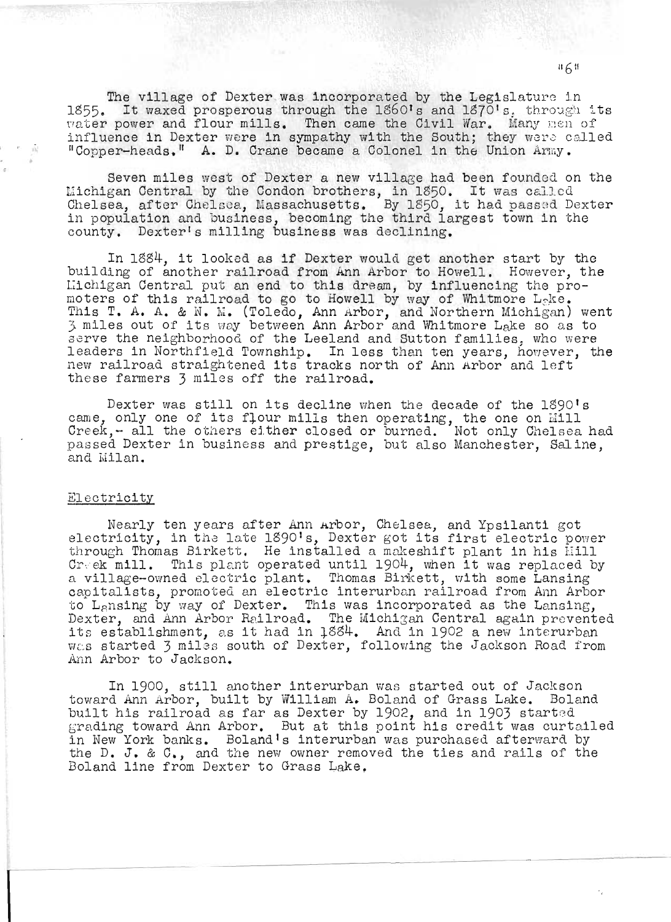The village of Dexter was incorporated by the Legislature 1n 111 The village of Dexter was incorporated by the Legislature in<br>1555. It waxed prosperous through the 1860's and 1870's, through its 855. It waxed prosperous through the 1860's and 1870's, through its<br>ater power and flour mills. Then came the Civil War. Many men of ater power and flour mills. Then came the Civil War. Many men of<br>nfluence in Dexter were in sympathy with the South: they were called influence in Dexter were in sympathy with the South; they were called "Copper-heads." A. D. Crane became a Colonel in the Union Army.

Seven miles west of Dexter a new village had been founded on the Seven miles west of Dexter a new village had been founded on<br>ichigan Central by the Condon brothers, in 1850. It was called ichigan Central by the Condon brothers, in 1850. It was called<br>helsea, after Chelsea, Massachusetts. By 1850, it had passed Dexter helsea, after Chelsea, Massachusetts. By 1850, it had passed Dexte<br>n population and business, becoming the third largest town in the in population and business, becoming the third largest town in the county. Dexter's milling business was declining.

In 1884, it looked as if Dexter would get another start by the building of another railroad from Ann Arbor to Howell. However, the Eichigan Central put an end to this dream, by influencing the proichigan Gentral put an end to this dream, by influencing the pro<br>oters of this railroad to go to Howell by way of Whitmore Leke. oters of this raifroad to go to howell by way of whitmore lake.<br>his T. A. A. & N. M. (Toledo, Ann Arbor, and Northern Michigan) went his T. A. A. & N. M. (Toledo, Ann Arbor, and Northern Michigan) went<br>miles out of its way between Ann Arbor and Whitmore Lake so as to miles out of its way between Ann Arbor and whitmore Lake so as to<br>arve the neighborhood of the Leeland and Sutton families, who were erve the neighborhood of the Leeland and Sutton families, who were<br>eaders in Northfield Township. In less than ten years, however, the leaders in Northfield Township. In less than ten years, however, the new railroad straightened its tracks north of Ann Arbor and left these farmers 3 miles off the railroad.

Dexter was still on its decline when the decade of the  $1890$ 's came, only one of its decline when the decade of the 1890's Dexter was still on its decline, when operating, the one on Mill ame, only one of its flour mills then operating, the one on Mill<br>reek – all the others either closed or burned. Not only Chelsea had reek, - all the others elth**er** closed or burned. Not only Chelsea had<br>assed Dexter in business and prestige, but also Manchester, Saline, passed Dexter in business and prestige, but also Manchester, Saline,<br>and Milan.

#### El ectricity

*<sup>t</sup>*... .

Nearly ten years after Ann Arbor, Ch elsea, and Ypsilanti got Wearly ten years after Ann Arbor, Chelsea, and Ypsilanti got<br>lectricity, in the late 1890's. Dexter got its first electric power lectricity, in the late 1890's, Dexter got its first electric power<br>brough Thomas Birkett. He installed a mokeshift plant in his Hill through Thomas Birkett. He installed a makeshift plant in his Hill reek mill. This plant operated until 1904, when it was replaced by<br>I village-owned electric plant. Thomas Birkett, with some Lansing village-owned electric plant. Thomas Birkett, with some Lansing<br>anitalists promoted an electric interurban railroad from Ann Arbor capitalists, promoted an electric interurban railroad from Ann Arbor<br>to Lansing by way of Dexter. This was incorporated as the Lansing, Dexter, and Ann Arbor Railroad. The Michigan Central again prevented exter, and Ann Arbor Railroad. The Michigan Central again prevented<br>ts establishment, as it had in 1884. And in 1902 a new interurban ts establishment, as it had in 1884. And in 1902 a new interurban<br>es started 3 miles south of Dexter, following the Jackson Road from as started  $\beta$  miles so.<br>An Arbor to Jackson.

In 1900, still another interurban was started out of Jackson toward Ann Arbor, built by WIlliam A. Boland of Grass Lake. Boland oward Ann Arbor, built by William A. Boland of Grass Lake. Bolan<br>pilt his railroad as far as Dexter by 1902, and in 1903 started uilt his railroad as far as Dexter by 1902, and in 1903 started<br>rading toward Ann Arbor. But at this point his credit was curtailed rading toward Ann Arbor. But at this point his credit was curtaile<br>n New York banks. Boland's interurban was purchased afterward by in New York banks. Boland's interurban was purchased afterward by the D. J. & C., and the new owner removed the ties and rails of the Boland line from Dexter to Grass Lake.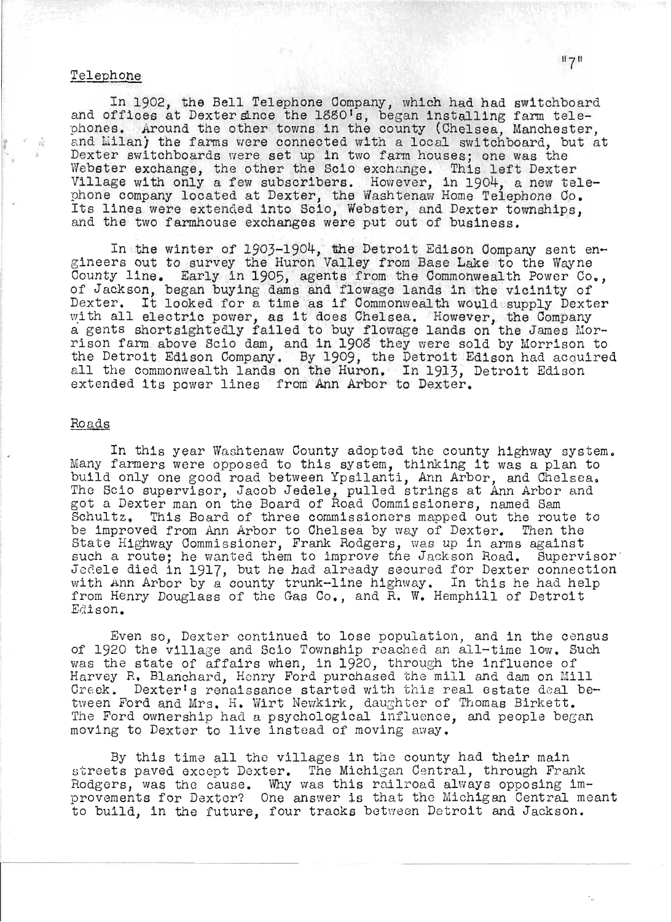### Telephone

In 1902, the Bell Telephone Company, which had had switchboard and offices at Dexter since the 1880's, began installing farm tele-<br>phones. Around the other towns in the county (Chelsea, Manchester, and Milan) the farms were connected with a local switchboard, but at Dexter switchboards were set up in two farm houses; one was the Webster exchange, the other the Scio exchange. This left Dexter Village with only a few subscribers. However, in 1904, a new telephone company located at Dexter, the Washtenaw Home Telephone Co. Its lines were extended into Scio, Webster, and Dexter townships, and the two farmhouse exchanges were put out of business.

In the winter of 1903-1904, the Detroit Edison Company sent engineers out to survey the Huron Valley from Base Lake to the Wayne . County line. Early in 1905, agents from the Commonwealth Power Co., of Jackson, began buying dams and flowage lands in the vicinity of Dexter. It looked for a time as if Commonwealth would supply Dexter with all electric power, as it does Chelsea. However, the Company a gents shortsightedly failed to buy flowage lands on the James Morrison farm above Scio dam, and in 1905 they were sold by Morrison to the Detroit Edison Company. Sy 1909, the Petroit Edison had acquired all the commonwealth lands on the Huron. In 1913, Detroit Edison extended its power lines from Ann Arbor to Dexter.

#### Roads

In this year Washtenaw County adopted the county highway system. Many farmers were opposed to this system, thinking it was a plan to build only one good road between Ypsilanti, Ann Arbor, and Chelsea. The Scio supervisor, Jacob Jedele, pulled strings at Ann Arbor and got a Dexter man on the Board of Road Commissioners, named Sam Schultz, This Board of three commissioners mapped out the route to be improved from Ann Arbor to Chelsea by way of Dexter. Then the State Highway Commissioner, Frank Rodgers, was up in arms against such a route: he wanted them to improve the Jackson Road. Supervisor Jedele died in 1917, but he had already secured for Dexter connection with Ann Arbor by a county trunk-line highway. In this he had help from Henry Douglass of the Gas Co., and R. W. Hemphill of Detroit Edison.

Even so, Dexter continued to lose population, and in the census of 1920 the village and Scio Township reached an all-time low. Such was the state of affairs when, in 1920, through the influence of Harvey R. Blanchard, Henry Ford purchased the mill and dam on Mill Oreek. Dexter's renaissance started with this real estate deal between Ford and Mrs. H. Wirt Newkirk, daughter of Thomas Birkett. The Ford ownership had a psychological influence, and people began moving to. Dexter to live instead of moving away.

By this time all the villages in the county had their main streets paved except Dexter. The Michigan Central, through Frank Rodgers, was the cause. Why was this railroad always opposing improvements for Dexter? One answer is that the Michigan Central meant to build, in the future, four tracks between Detroit and Jackson.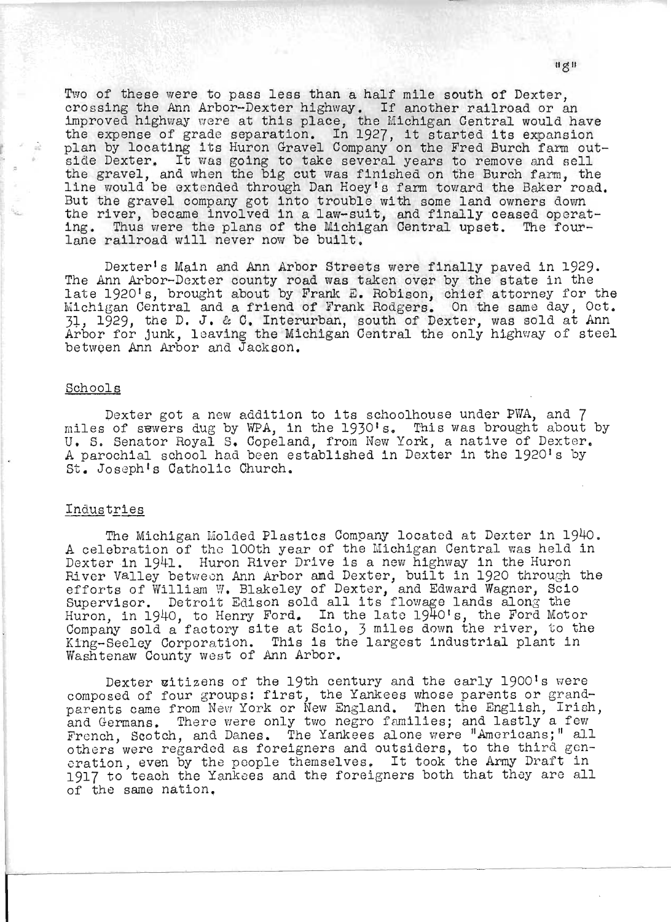Two of these were to pass less than a half mile south of Dexter, wo of these were to pass less than a half mile south of Dexter,<br>prossing the Ann Arbor-Dexter highway. If another railroad or an irossing the Ann Arbor-Dexter nighway. It another railroad or an<br>mproved highway were at this place, the Michigan Central would have improved highway were at this place, the Michigan Central would have<br>the expense of grade separation. In 1927, it started its expansion<br>plan by locating its Huron Gravel Company on the Fred Burch farm outlan by locating its Huron Gravel Company on the Fred Burch farm out<br>ide Dexter. It was going to take several years to remove and sell the bexter, it was going to take several years to remove and sell<br>the gravel, and when the big cut was finished on the Burch farm, the line gravel, and when the big cut was finished on the Burdh farm, the last the Baker road. ine would be extended through ban hoey's farm toward the baker road.<br>But the gravel company got into trouble with some land owners down out the gravel company got into trouble with some land owners down<br>the river, became involved in a law-suit, and finally ceased operat-<br>.ng. Thus were the plans of the Michigan Central upset. The fourlane railroad will never now be built.

Dexter's Main and Ann Arbor Streets were finally paved in 1929. Dexter's main and Ann Arbor Streets were finally paved in 1929.<br>he Ann Arbor-Dexter county road was taken over by the state in the. ine ann arbor-bexter county road was taken over by the state in the late of the state in the cate is a sense o<br>Late 1920's, brought about by Frank E. Robison, chief attorney for the rate 1920's, prought about by frank b. Robison, chief attorney for the<br>Alchigan Central and a friend of Frank Rodgers. On the same day, Oct. ilchigan Gentral and a friend of Frank Rodgers. On the same day, Oct.<br>1. 1929, the D. J. & C. Interurban, south of Dexter, was sold at Ann Arbor for junk, leaving the Michigan Central the only highway of steel between Ann Arbor and Jackson.

# Schools

Dexter got a new addition to its schoolhouse under PWA, and 7 miles of sewers dug by WPA, in the 1930's. This was brought about by U. S. Senator Royal S. Copeland, from New York, a native of Dexter. A parochial school had been established in Dexter in the 1920's by St. Joseph's Catholic Church.

#### Industries

The Michigan Molded Plastics Company located at Dexter in 1940. A celebration of the 100th year of the Michigan Central was held in Dexter in 1941. Huron River Drive is a new highway in the Huron Eiver valley betweon Ann Arbor amd Dexter, built in 1920 through the efforts of William W. Blakeley of Dexter, and Edward Wagner, Scio fforts of William W. Blakeley of Dexter, and Edward Wagner, Scio<br>Supervisor. Detroit Edison sold all its flowage lands along the Bupervisor. Detroit Edison sold all its flowage lands along the<br>Iuron, in 1940, to Henry Ford. In the late 1940's, the Ford Motor Company sold a factory site at Scio, 3 miles down the river, to the King-Seeley Corporation. This is the largest industrial plant in Washtenaw County west of Ann Arbor.

Dexter witizens of the 19th century and the early 1900's were composed of four groups: first, the Yankees whose parents or grandcomposed of four groups; first, the fankees whose parents or grand-<br>parents came from New York or New England. Then the English, Irish, and Germans. There were only two negro families; and lastly a few French, Scotch, and Danes. The Yankees alone were "Americans;" all others were regarded as foreigners and outsiders, to the third generation, even by the poople themselves. It took the Army Draft in 1917 to teach the Yankees and the foreigners both that they are all of the same nation.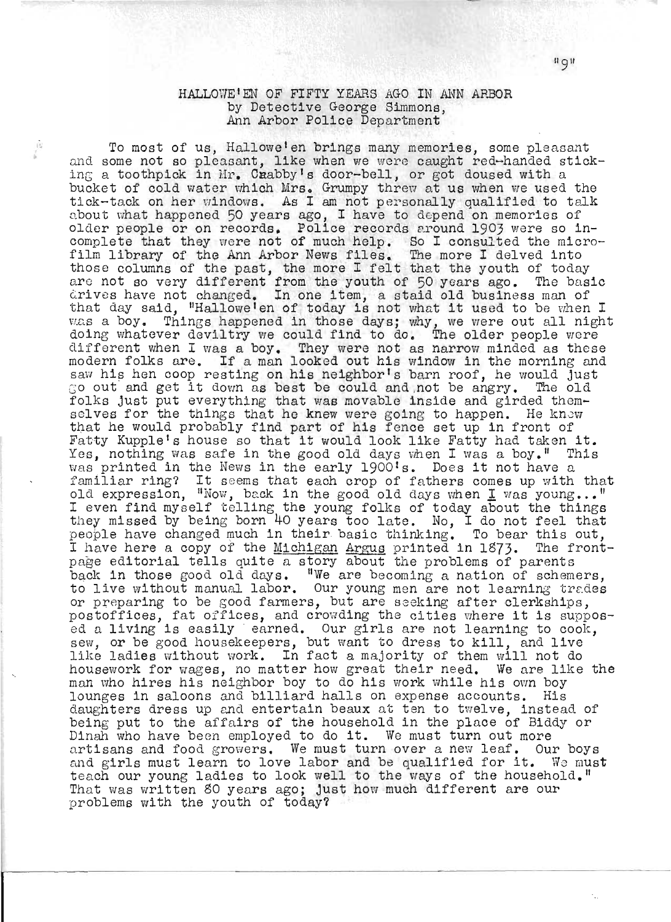# HALLOWE'EN OF FIFTY YEARS AGO IN ANN ARBOR by Detective George Simmons, Ann Arbor Police Department

,.:

To most of us, Hallowe'en brings many memories, some pleasant and some not so pleasant, like when we were caught red-handed sticking a toothpick in Mr. Crabby's door-bell, or got doused with a bucket of cold water which Mrs. Grumpy threw at us when we used the tick-tack on her windows. As I am not personally qualified to talk about what happened 50 years ago, I have to depend on memories of older people or on records. Police records around 1903 were so incomplete that they were not of much help. So I consulted the microfilm library of the Ann Arbor News files. The more I delved into those columns of the past, the more I felt that the youth of today are not so very different from the youth of 50 years ago. The basic drives have not changed. In one item, a staid old business man of that day said, "Hallowe'en of today is not what it used to be when I was a boy. Things happened in those days; why, we were out all night doing whatever deviltry we could find to do. The older people were different when I was a boy. They were not as narrow minded as these modern folks are. If a man looked out his window in the morning and saw his hen coop resting on his neighbor's barn roof, he would just go out and get it down as best be could and not be angry. The old folks just put everything that was movable inside and girded thcmselves for the things that he knew were going to happen. He knew that he would probably find part of his fence set up in front of Fatty Kupple's house so that it would look like Fatty had taken it. Yes, nothing was safe in the good old days when I was a boy." This was printed in the News in the early 1900's. Does it not have a ras printed in the news in the early 1900's. Does it hot have a<br>familiar ring? It seems that each crop of fathers comes up with that be a so soons that  $\frac{1}{n}$  is the second of  $\frac{1}{n}$  value of  $\frac{1}{n}$  value  $\frac{1}{n}$  value  $\frac{1}{n}$  value  $\cdots$  " I expression, now, back in the good of a days when  $\frac{1}{2}$  was young... they missed by being born 40 years too late. No, I do not feel that people have changed much in their basic thinking. To bear this out, I have here a copy of the Michigan Argus printed in 1873. The front-I have here a copy of the <u>miching areas</u> printed in 1977. The 11 back in those good old days. "We are becoming a nation of schemers, to live without manual labor. Our young men are not learning trades or preparing to be good farmers, but are seeking after clerkships, or preparing to be good farmers, but are seeking after clerkships,<br>postoffices, fat offices, and crowding the cities where it is supposed a living is easily 'earned. Our girls are not learning to cook, sew, or be good housekeepers, but want to dress to kill, and live like ladies without work. In fact a majority of them will not do housework for wages, no matter how great their need. We are like the man who hires his neighbor boy to do his work while his own boy lounges in saloons and billiard halls on expense accounts. His daughters dress up and entertain beaux at ten to twelve, instead of being put to the affairs of the household in the place of Biddy or Dinah who have been employed to do it. We must turn out more artisans and food growers. We must turn over a new leaf. Our boys and girls must learn to love labor and be qualified for it. We must teach our young ladies to look well to the ways of the household." That was written 80 years ago; just how much different are our problems with the youth of today?